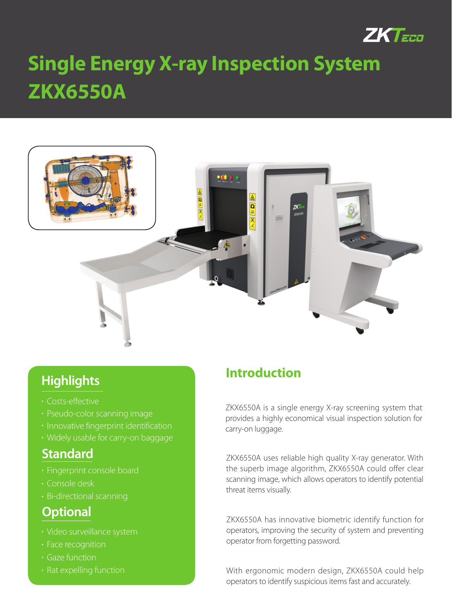

# **ZKX6550A Single Energy X-ray Inspection System**



## **Highlights**

- Costs-effective
- Pseudo-color scanning image
- **· Innovative fingerprint identification**
- Widely usable for carry-on baggage

#### **Standard**

- Fingerprint console board
- Console desk
- Bi-directional scanning

## **Optional**

- Video surveillance system
- Face recognition
- Gaze function
- Rat expelling function

## **Introduction**

ZKX6550A is a single energy X-ray screening system that provides a highly economical visual inspection solution for carry-on luggage.

ZKX6550A uses reliable high quality X-ray generator. With the superb image algorithm, ZKX6550A could offer clear scanning image, which allows operators to identify potential threat items visually.

ZKX6550A has innovative biometric identify function for operators, improving the security of system and preventing operator from forgetting password.

With ergonomic modern design, ZKX6550A could help operators to identify suspicious items fast and accurately.